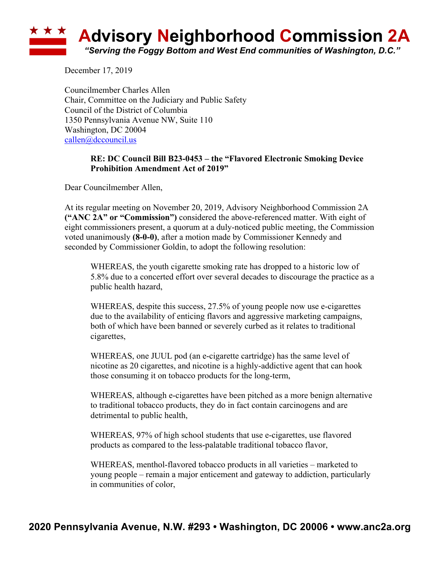## **Advisory Neighborhood Commission 2A** *"Serving the Foggy Bottom and West End communities of Washington, D.C."*

December 17, 2019

Councilmember Charles Allen Chair, Committee on the Judiciary and Public Safety Council of the District of Columbia 1350 Pennsylvania Avenue NW, Suite 110 Washington, DC 20004 callen@dccouncil.us

## **RE: DC Council Bill B23-0453 – the "Flavored Electronic Smoking Device Prohibition Amendment Act of 2019"**

Dear Councilmember Allen,

At its regular meeting on November 20, 2019, Advisory Neighborhood Commission 2A **("ANC 2A" or "Commission")** considered the above-referenced matter. With eight of eight commissioners present, a quorum at a duly-noticed public meeting, the Commission voted unanimously **(8-0-0)**, after a motion made by Commissioner Kennedy and seconded by Commissioner Goldin, to adopt the following resolution:

WHEREAS, the youth cigarette smoking rate has dropped to a historic low of 5.8% due to a concerted effort over several decades to discourage the practice as a public health hazard,

WHEREAS, despite this success, 27.5% of young people now use e-cigarettes due to the availability of enticing flavors and aggressive marketing campaigns, both of which have been banned or severely curbed as it relates to traditional cigarettes,

WHEREAS, one JUUL pod (an e-cigarette cartridge) has the same level of nicotine as 20 cigarettes, and nicotine is a highly-addictive agent that can hook those consuming it on tobacco products for the long-term,

WHEREAS, although e-cigarettes have been pitched as a more benign alternative to traditional tobacco products, they do in fact contain carcinogens and are detrimental to public health,

WHEREAS, 97% of high school students that use e-cigarettes, use flavored products as compared to the less-palatable traditional tobacco flavor,

WHEREAS, menthol-flavored tobacco products in all varieties – marketed to young people – remain a major enticement and gateway to addiction, particularly in communities of color,